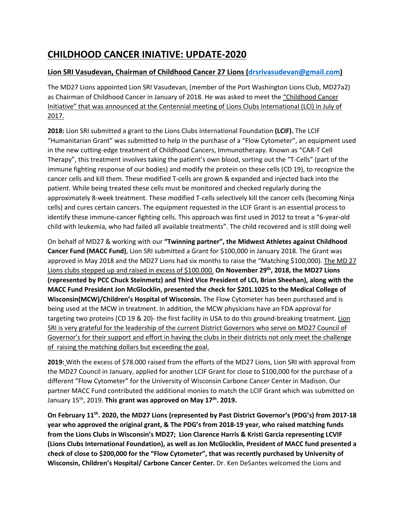## **CHILDHOOD CANCER INIATIVE: UPDATE-2020**

## **Lion SRI Vasudevan, Chairman of Childhood Cancer 27 Lions (drsrivasudevan@gmail.com)**

The MD27 Lions appointed Lion SRI Vasudevan, (member of the Port Washington Lions Club, MD27a2) as Chairman of Childhood Cancer in January of 2018. He was asked to meet the "Childhood Cancer Initiative" that was announced at the Centennial meeting of Lions Clubs International (LCI) in July of 2017.

**2018:** Lion SRI submitted a grant to the Lions Clubs International Foundation **(LCIF).** The LCIF "Humanitarian Grant" was submitted to help in the purchase of a "Flow Cytometer", an equipment used in the new cutting-edge treatment of Childhood Cancers, Immunotherapy. Known as "CAR-T Cell Therapy", this treatment involves taking the patient's own blood, sorting out the "T-Cells" (part of the immune fighting response of our bodies) and modify the protein on these cells (CD 19), to recognize the cancer cells and kill them. These modified T-cells are grown & expanded and injected back into the patient. While being treated these cells must be monitored and checked regularly during the approximately 8-week treatment. These modified T-cells selectively kill the cancer cells (becoming Ninja cells) and cures certain cancers. The equipment requested in the LCIF Grant is an essential process to identify these immune-cancer fighting cells. This approach was first used in 2012 to treat a "6-year-old child with leukemia, who had failed all available treatments". The child recovered and is still doing well

On behalf of MD27 & working with our **"Twinning partner", the Midwest Athletes against Childhood Cancer Fund (MACC Fund)**, Lion SRI submitted a Grant for \$100,000 in January 2018. The Grant was approved in May 2018 and the MD27 Lions had six months to raise the "Matching \$100,000). The MD 27 Lions clubs stepped up and raised in excess of \$100.000. **On November 29<sup>th</sup>, 2018, the MD27 Lions (represented by PCC Chuck Steinmetz) and Third Vice President of LCI, Brian Sheehan), along with the MACC Fund President Jon McGlocklin, presented the check for \$201.1025 to the Medical College of Wisconsin(MCW)/Children's Hospital of Wisconsin.** The Flow Cytometer has been purchased and is being used at the MCW in treatment. In addition, the MCW physicians have an FDA approval for targeting two proteins (CD 19 & 20)- the first facility in USA to do this ground-breaking treatment. Lion SRI is very grateful for the leadership of the current District Governors who serve on MD27 Council of Governor's for their support and effort in having the clubs in their districts not only meet the challenge of raising the matching dollars but exceeding the goal.

**2019:** With the excess of \$78.000 raised from the efforts of the MD27 Lions, Lion SRI with approval from the MD27 Council in January, applied for another LCIF Grant for close to \$100,000 for the purchase of a different "Flow Cytometer" for the University of Wisconsin Carbone Cancer Center in Madison. Our partner MACC Fund contributed the additional monies to match the LCIF Grant which was submitted on January 15<sup>th</sup>, 2019. This grant was approved on May 17<sup>th</sup>. 2019.

**On February 11th. 2020, the MD27 Lions (represented by Past District Governor's (PDG's) from 2017-18 year who approved the original grant, & The PDG's from 2018-19 year, who raised matching funds from the Lions Clubs in Wisconsin's MD27; Lion Clarence Harris & Kristi Garcia representing LCVIF (Lions Clubs International Foundation), as well as Jon McGlocklin, President of MACC fund presented a check of close to \$200,000 for the "Flow Cytometer", that was recently purchased by University of Wisconsin, Children's Hospital/ Carbone Cancer Center.** Dr. Ken DeSantes welcomed the Lions and